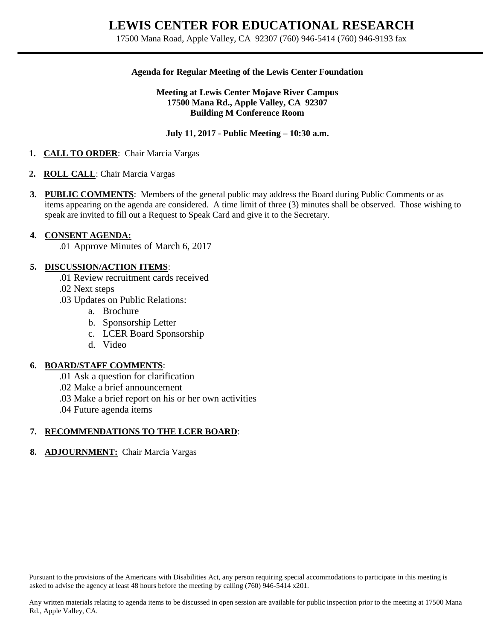# **LEWIS CENTER FOR EDUCATIONAL RESEARCH**

17500 Mana Road, Apple Valley, CA 92307 (760) 946-5414 (760) 946-9193 fax

### **Agenda for Regular Meeting of the Lewis Center Foundation**

### **Meeting at Lewis Center Mojave River Campus 17500 Mana Rd., Apple Valley, CA 92307 Building M Conference Room**

### **July 11, 2017 - Public Meeting – 10:30 a.m.**

## **1. CALL TO ORDER**: Chair Marcia Vargas

- **2. ROLL CALL**: Chair Marcia Vargas
- **3. PUBLIC COMMENTS**: Members of the general public may address the Board during Public Comments or as items appearing on the agenda are considered. A time limit of three (3) minutes shall be observed. Those wishing to speak are invited to fill out a Request to Speak Card and give it to the Secretary.

### **4. CONSENT AGENDA:**

.01 Approve Minutes of March 6, 2017

## **5. DISCUSSION/ACTION ITEMS**:

- .01 Review recruitment cards received
- .02 Next steps
- .03 Updates on Public Relations:
	- a. Brochure
	- b. Sponsorship Letter
	- c. LCER Board Sponsorship
	- d. Video

### **6. BOARD/STAFF COMMENTS**:

- .01 Ask a question for clarification
- .02 Make a brief announcement
- .03 Make a brief report on his or her own activities
- .04 Future agenda items

### **7. RECOMMENDATIONS TO THE LCER BOARD**:

### **8. ADJOURNMENT:** Chair Marcia Vargas

Pursuant to the provisions of the Americans with Disabilities Act, any person requiring special accommodations to participate in this meeting is asked to advise the agency at least 48 hours before the meeting by calling (760) 946-5414 x201.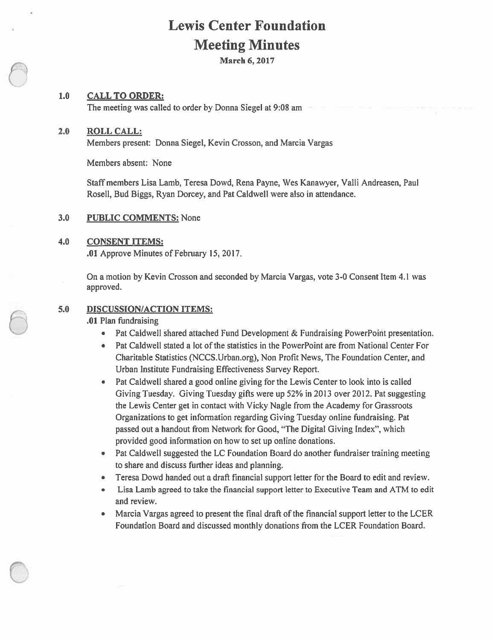# **Lewis Center Foundation Meeting Minutes March 6, 2017**

#### **CALL TO ORDER:**  $1.0$

The meeting was called to order by Donna-Siegel at 9:08 am

#### $2.0$ **ROLL CALL:**

Members present: Donna Siegel, Kevin Crosson, and Marcia Vargas

Members absent: None

Staff members Lisa Lamb, Teresa Dowd, Rena Payne, Wes Kanawyer, Valli Andreasen, Paul Rosell, Bud Biggs, Ryan Dorcey, and Pat Caldwell were also in attendance.

#### $3.0$ **PUBLIC COMMENTS: None**

#### 4.0 **CONSENT ITEMS:**

.01 Approve Minutes of February 15, 2017.

On a motion by Kevin Crosson and seconded by Marcia Vargas, vote 3-0 Consent Item 4.1 was approved.

#### **DISCUSSION/ACTION ITEMS:**  $5.0$

.01 Plan fundraising

- Pat Caldwell shared attached Fund Development & Fundraising PowerPoint presentation.
- Pat Caldwell stated a lot of the statistics in the PowerPoint are from National Center For Charitable Statistics (NCCS.Urban.org), Non Profit News, The Foundation Center, and Urban Institute Fundraising Effectiveness Survey Report.
- Pat Caldwell shared a good online giving for the Lewis Center to look into is called  $\bullet$ Giving Tuesday. Giving Tuesday gifts were up 52% in 2013 over 2012. Pat suggesting the Lewis Center get in contact with Vicky Nagle from the Academy for Grassroots Organizations to get information regarding Giving Tuesday online fundraising. Pat passed out a handout from Network for Good, "The Digital Giving Index", which provided good information on how to set up online donations.
- Pat Caldwell suggested the LC Foundation Board do another fundraiser training meeting to share and discuss further ideas and planning.
- Teresa Dowd handed out a draft financial support letter for the Board to edit and review.
- Lisa Lamb agreed to take the financial support letter to Executive Team and ATM to edit  $\bullet$  . <br> <br> : and review.
- Marcia Vargas agreed to present the final draft of the financial support letter to the LCER Foundation Board and discussed monthly donations from the LCER Foundation Board.